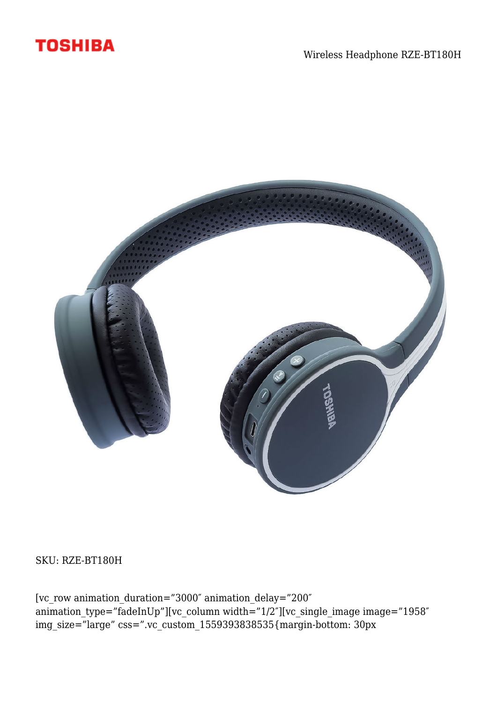



SKU: RZE-BT180H

[vc\_row animation\_duration="3000″ animation\_delay="200″ animation\_type="fadeInUp"][vc\_column width="1/2″][vc\_single\_image image="1958″ img\_size="large" css=".vc\_custom\_1559393838535{margin-bottom: 30px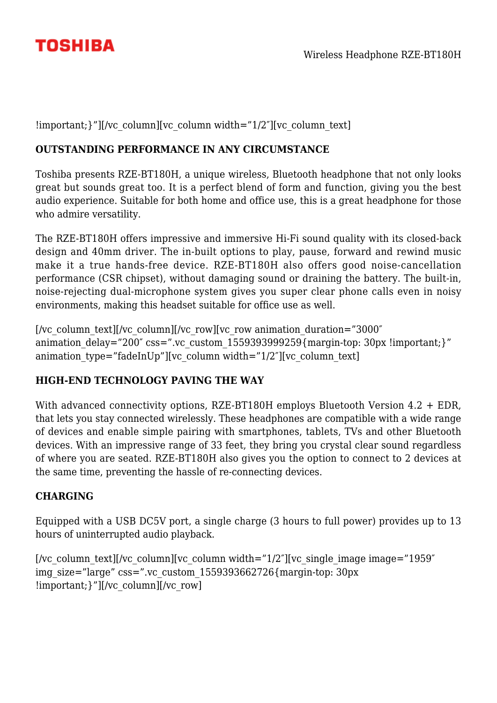

!important; }"][/vc\_column][vc\_column width="1/2"][vc\_column\_text]

# **OUTSTANDING PERFORMANCE IN ANY CIRCUMSTANCE**

Toshiba presents RZE-BT180H, a unique wireless, Bluetooth headphone that not only looks great but sounds great too. It is a perfect blend of form and function, giving you the best audio experience. Suitable for both home and office use, this is a great headphone for those who admire versatility.

The RZE-BT180H offers impressive and immersive Hi-Fi sound quality with its closed-back design and 40mm driver. The in-built options to play, pause, forward and rewind music make it a true hands-free device. RZE-BT180H also offers good noise-cancellation performance (CSR chipset), without damaging sound or draining the battery. The built-in, noise-rejecting dual-microphone system gives you super clear phone calls even in noisy environments, making this headset suitable for office use as well.

[/vc\_column\_text][/vc\_column][/vc\_row][vc\_row animation\_duration="3000" animation delay="200" css=".vc\_custom\_1559393999259{margin-top: 30px !important:}" animation type="fadeInUp"][vc\_column width="1/2"][vc\_column\_text]

### **HIGH-END TECHNOLOGY PAVING THE WAY**

With advanced connectivity options, RZE-BT180H employs Bluetooth Version 4.2 + EDR, that lets you stay connected wirelessly. These headphones are compatible with a wide range of devices and enable simple pairing with smartphones, tablets, TVs and other Bluetooth devices. With an impressive range of 33 feet, they bring you crystal clear sound regardless of where you are seated. RZE-BT180H also gives you the option to connect to 2 devices at the same time, preventing the hassle of re-connecting devices.

### **CHARGING**

Equipped with a USB DC5V port, a single charge (3 hours to full power) provides up to 13 hours of uninterrupted audio playback.

[/vc\_column\_text][/vc\_column][vc\_column width="1/2"][vc\_single\_image image="1959" img\_size="large" css=".vc\_custom\_1559393662726{margin-top: 30px !important;}"][/vc\_column][/vc\_row]